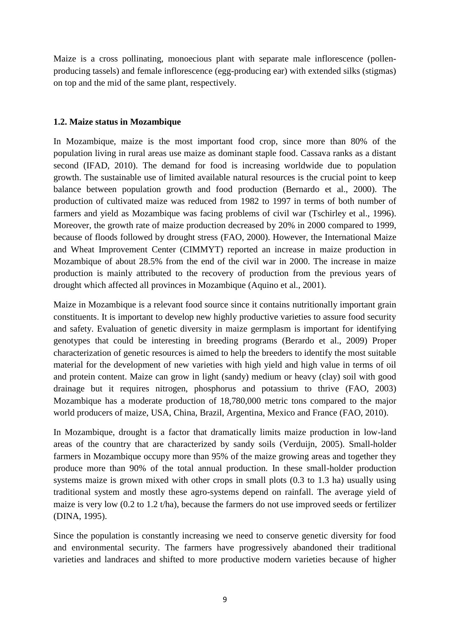Maize is a cross pollinating, monoecious plant with separate male inflorescence (pollenproducing tassels) and female inflorescence (egg-producing ear) with extended silks (stigmas) on top and the mid of the same plant, respectively.

## **1.2. Maize status in Mozambique**

In Mozambique, maize is the most important food crop, since more than 80% of the population living in rural areas use maize as dominant staple food. Cassava ranks as a distant second (IFAD, 2010). The demand for food is increasing worldwide due to population growth. The sustainable use of limited available natural resources is the crucial point to keep balance between population growth and food production (Bernardo et al., 2000). The production of cultivated maize was reduced from 1982 to 1997 in terms of both number of farmers and yield as Mozambique was facing problems of civil war (Tschirley et al., 1996). Moreover, the growth rate of maize production decreased by 20% in 2000 compared to 1999, because of floods followed by drought stress (FAO, 2000). However, the International Maize and Wheat Improvement Center (CIMMYT) reported an increase in maize production in Mozambique of about 28.5% from the end of the civil war in 2000. The increase in maize production is mainly attributed to the recovery of production from the previous years of drought which affected all provinces in Mozambique (Aquino et al., 2001).

Maize in Mozambique is a relevant food source since it contains nutritionally important grain constituents. It is important to develop new highly productive varieties to assure food security and safety. Evaluation of genetic diversity in maize germplasm is important for identifying genotypes that could be interesting in breeding programs (Berardo et al., 2009) Proper characterization of genetic resources is aimed to help the breeders to identify the most suitable material for the development of new varieties with high yield and high value in terms of oil and protein content. Maize can grow in light (sandy) medium or heavy (clay) soil with good drainage but it requires nitrogen, phosphorus and potassium to thrive (FAO, 2003) Mozambique has a moderate production of 18,780,000 metric tons compared to the major world producers of maize, USA, China, Brazil, Argentina, Mexico and France (FAO, 2010).

In Mozambique, drought is a factor that dramatically limits maize production in low-land areas of the country that are characterized by sandy soils (Verduijn, 2005). Small-holder farmers in Mozambique occupy more than 95% of the maize growing areas and together they produce more than 90% of the total annual production. In these small-holder production systems maize is grown mixed with other crops in small plots (0.3 to 1.3 ha) usually using traditional system and mostly these agro-systems depend on rainfall. The average yield of maize is very low (0.2 to 1.2 t/ha), because the farmers do not use improved seeds or fertilizer (DINA, 1995).

Since the population is constantly increasing we need to conserve genetic diversity for food and environmental security. The farmers have progressively abandoned their traditional varieties and landraces and shifted to more productive modern varieties because of higher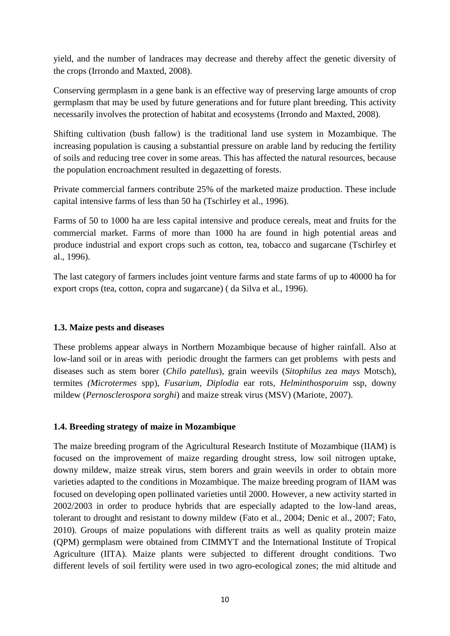yield, and the number of landraces may decrease and thereby affect the genetic diversity of the crops (Irrondo and Maxted, 2008).

Conserving germplasm in a gene bank is an effective way of preserving large amounts of crop germplasm that may be used by future generations and for future plant breeding. This activity necessarily involves the protection of habitat and ecosystems (Irrondo and Maxted, 2008).

Shifting cultivation (bush fallow) is the traditional land use system in Mozambique. The increasing population is causing a substantial pressure on arable land by reducing the fertility of soils and reducing tree cover in some areas. This has affected the natural resources, because the population encroachment resulted in degazetting of forests.

Private commercial farmers contribute 25% of the marketed maize production. These include capital intensive farms of less than 50 ha (Tschirley et al., 1996).

Farms of 50 to 1000 ha are less capital intensive and produce cereals, meat and fruits for the commercial market. Farms of more than 1000 ha are found in high potential areas and produce industrial and export crops such as cotton, tea, tobacco and sugarcane (Tschirley et al., 1996).

The last category of farmers includes joint venture farms and state farms of up to 40000 ha for export crops (tea, cotton, copra and sugarcane) ( da Silva et al., 1996).

## **1.3. Maize pests and diseases**

These problems appear always in Northern Mozambique because of higher rainfall. Also at low-land soil or in areas with periodic drought the farmers can get problems with pests and diseases such as stem borer (*Chilo patellus*), grain weevils (*Sitophilus zea mays* Motsch), termites *(Microtermes* spp), *Fusarium, Diplodia* ear rots*, Helminthosporuim* ssp*,* downy mildew (*Pernosclerospora sorghi*) and maize streak virus (MSV) (Mariote, 2007).

# **1.4. Breeding strategy of maize in Mozambique**

The maize breeding program of the Agricultural Research Institute of Mozambique (IIAM) is focused on the improvement of maize regarding drought stress, low soil nitrogen uptake, downy mildew, maize streak virus, stem borers and grain weevils in order to obtain more varieties adapted to the conditions in Mozambique. The maize breeding program of IIAM was focused on developing open pollinated varieties until 2000. However, a new activity started in 2002/2003 in order to produce hybrids that are especially adapted to the low-land areas, tolerant to drought and resistant to downy mildew (Fato et al., 2004; Denic et al., 2007; Fato, 2010). Groups of maize populations with different traits as well as quality protein maize (QPM) germplasm were obtained from CIMMYT and the International Institute of Tropical Agriculture (IITA). Maize plants were subjected to different drought conditions. Two different levels of soil fertility were used in two agro-ecological zones; the mid altitude and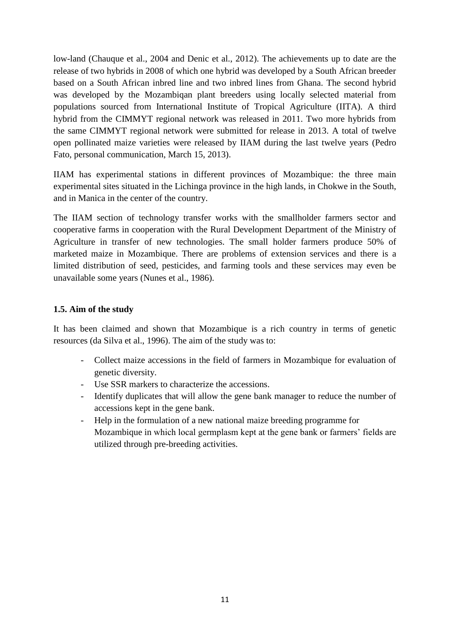low-land (Chauque et al., 2004 and Denic et al., 2012). The achievements up to date are the release of two hybrids in 2008 of which one hybrid was developed by a South African breeder based on a South African inbred line and two inbred lines from Ghana. The second hybrid was developed by the Mozambiqan plant breeders using locally selected material from populations sourced from International Institute of Tropical Agriculture (IITA). A third hybrid from the CIMMYT regional network was released in 2011. Two more hybrids from the same CIMMYT regional network were submitted for release in 2013. A total of twelve open pollinated maize varieties were released by IIAM during the last twelve years (Pedro Fato, personal communication, March 15, 2013).

IIAM has experimental stations in different provinces of Mozambique: the three main experimental sites situated in the Lichinga province in the high lands, in Chokwe in the South, and in Manica in the center of the country.

The IIAM section of technology transfer works with the smallholder farmers sector and cooperative farms in cooperation with the Rural Development Department of the Ministry of Agriculture in transfer of new technologies. The small holder farmers produce 50% of marketed maize in Mozambique. There are problems of extension services and there is a limited distribution of seed, pesticides, and farming tools and these services may even be unavailable some years (Nunes et al., 1986).

# **1.5. Aim of the study**

It has been claimed and shown that Mozambique is a rich country in terms of genetic resources (da Silva et al., 1996). The aim of the study was to:

- Collect maize accessions in the field of farmers in Mozambique for evaluation of genetic diversity.
- Use SSR markers to characterize the accessions.
- Identify duplicates that will allow the gene bank manager to reduce the number of accessions kept in the gene bank.
- Help in the formulation of a new national maize breeding programme for Mozambique in which local germplasm kept at the gene bank or farmers' fields are utilized through pre-breeding activities.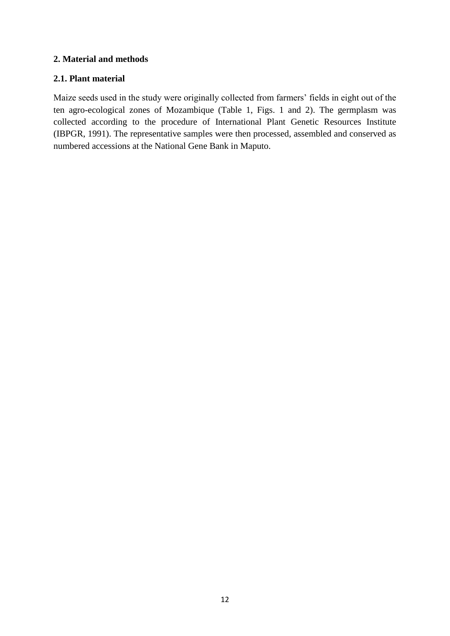## **2. Material and methods**

## **2.1. Plant material**

Maize seeds used in the study were originally collected from farmers' fields in eight out of the ten agro-ecological zones of Mozambique (Table 1, Figs. 1 and 2). The germplasm was collected according to the procedure of International Plant Genetic Resources Institute (IBPGR, 1991). The representative samples were then processed, assembled and conserved as numbered accessions at the National Gene Bank in Maputo.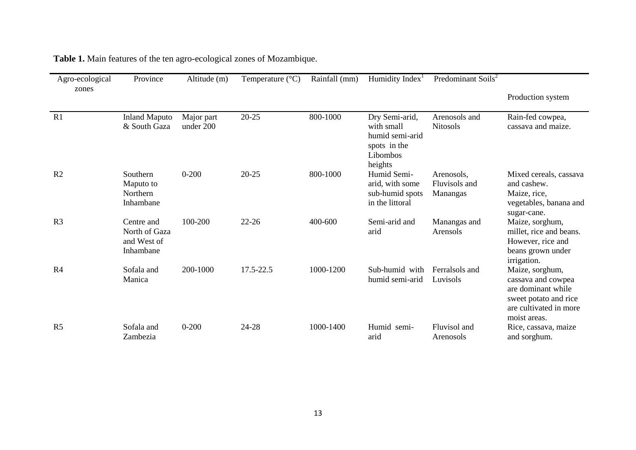| Agro-ecological<br>zones | Province                                                | Altitude (m)            | Temperature $(^{\circ}C)$ | Rainfall (mm) | Humidity Index <sup>1</sup>                                                            | Predominant Soils <sup>2</sup>          |                                                                                                                                |
|--------------------------|---------------------------------------------------------|-------------------------|---------------------------|---------------|----------------------------------------------------------------------------------------|-----------------------------------------|--------------------------------------------------------------------------------------------------------------------------------|
|                          |                                                         |                         |                           |               |                                                                                        |                                         | Production system                                                                                                              |
| R <sub>1</sub>           | <b>Inland Maputo</b><br>& South Gaza                    | Major part<br>under 200 | $20 - 25$                 | 800-1000      | Dry Semi-arid,<br>with small<br>humid semi-arid<br>spots in the<br>Libombos<br>heights | Arenosols and<br><b>Nitosols</b>        | Rain-fed cowpea,<br>cassava and maize.                                                                                         |
| R <sub>2</sub>           | Southern<br>Maputo to<br>Northern<br>Inhambane          | $0 - 200$               | $20 - 25$                 | 800-1000      | Humid Semi-<br>arid, with some<br>sub-humid spots<br>in the littoral                   | Arenosols,<br>Fluvisols and<br>Manangas | Mixed cereals, cassava<br>and cashew.<br>Maize, rice,<br>vegetables, banana and<br>sugar-cane.                                 |
| R <sub>3</sub>           | Centre and<br>North of Gaza<br>and West of<br>Inhambane | 100-200                 | $22 - 26$                 | 400-600       | Semi-arid and<br>arid                                                                  | Manangas and<br>Arensols                | Maize, sorghum,<br>millet, rice and beans.<br>However, rice and<br>beans grown under<br>irrigation.                            |
| R <sub>4</sub>           | Sofala and<br>Manica                                    | 200-1000                | 17.5-22.5                 | 1000-1200     | Sub-humid with<br>humid semi-arid                                                      | Ferralsols and<br>Luvisols              | Maize, sorghum,<br>cassava and cowpea<br>are dominant while<br>sweet potato and rice<br>are cultivated in more<br>moist areas. |
| R <sub>5</sub>           | Sofala and<br>Zambezia                                  | $0 - 200$               | 24-28                     | 1000-1400     | Humid semi-<br>arid                                                                    | Fluvisol and<br>Arenosols               | Rice, cassava, maize<br>and sorghum.                                                                                           |

**Table 1.** Main features of the ten agro-ecological zones of Mozambique.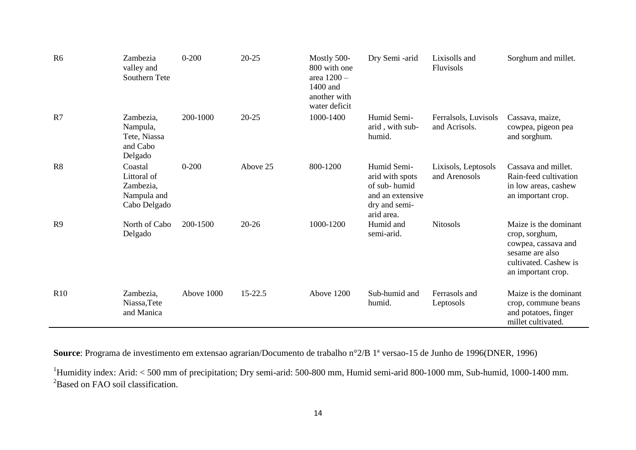| R <sub>6</sub> | Zambezia<br>valley and<br>Southern Tete                            | $0 - 200$  | $20 - 25$ | Mostly 500-<br>800 with one<br>area 1200 -<br>1400 and<br>another with<br>water deficit | Dry Semi -arid                                                                                    | Lixisolls and<br>Fluvisols            | Sorghum and millet.                                                                                                              |
|----------------|--------------------------------------------------------------------|------------|-----------|-----------------------------------------------------------------------------------------|---------------------------------------------------------------------------------------------------|---------------------------------------|----------------------------------------------------------------------------------------------------------------------------------|
| R7             | Zambezia,<br>Nampula,<br>Tete, Niassa<br>and Cabo<br>Delgado       | 200-1000   | $20 - 25$ | 1000-1400                                                                               | Humid Semi-<br>arid, with sub-<br>humid.                                                          | Ferralsols, Luvisols<br>and Acrisols. | Cassava, maize,<br>cowpea, pigeon pea<br>and sorghum.                                                                            |
| R <sub>8</sub> | Coastal<br>Littoral of<br>Zambezia,<br>Nampula and<br>Cabo Delgado | $0 - 200$  | Above 25  | 800-1200                                                                                | Humid Semi-<br>arid with spots<br>of sub-humid<br>and an extensive<br>dry and semi-<br>arid area. | Lixisols, Leptosols<br>and Arenosols  | Cassava and millet.<br>Rain-feed cultivation<br>in low areas, cashew<br>an important crop.                                       |
| R9             | North of Cabo<br>Delgado                                           | 200-1500   | $20 - 26$ | 1000-1200                                                                               | Humid and<br>semi-arid.                                                                           | <b>Nitosols</b>                       | Maize is the dominant<br>crop, sorghum,<br>cowpea, cassava and<br>sesame are also<br>cultivated. Cashew is<br>an important crop. |
| R10            | Zambezia,<br>Niassa, Tete<br>and Manica                            | Above 1000 | 15-22.5   | Above 1200                                                                              | Sub-humid and<br>humid.                                                                           | Ferrasols and<br>Leptosols            | Maize is the dominant<br>crop, commune beans<br>and potatoes, finger<br>millet cultivated.                                       |

**Source**: Programa de investimento em extensao agrarian/Documento de trabalho n°2/B 1ª versao-15 de Junho de 1996(DNER, 1996)

 $1$ Humidity index: Arid: < 500 mm of precipitation; Dry semi-arid: 500-800 mm, Humid semi-arid 800-1000 mm, Sub-humid, 1000-1400 mm. <sup>2</sup>Based on FAO soil classification.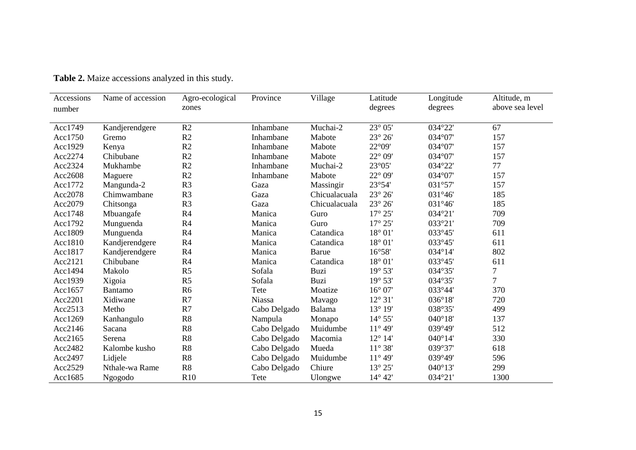| Accessions<br>number | Name of accession | Agro-ecological<br>zones | Province     | Village       | Latitude<br>degrees        | Longitude<br>degrees | Altitude, m<br>above sea level |
|----------------------|-------------------|--------------------------|--------------|---------------|----------------------------|----------------------|--------------------------------|
|                      |                   |                          |              |               |                            |                      |                                |
| Acc1749              | Kandjerendgere    | R <sub>2</sub>           | Inhambane    | Muchai-2      | $23^{\circ} 05'$           | 034°22'              | 67                             |
| Acc1750              | Gremo             | R2                       | Inhambane    | Mabote        | $23^{\circ}$ $26^{\prime}$ | 034°07'              | 157                            |
| Acc1929              | Kenya             | R2                       | Inhambane    | Mabote        | 22°09'                     | 034°07'              | 157                            |
| Acc2274              | Chibubane         | R2                       | Inhambane    | Mabote        | $22^{\circ}$ 09'           | 034°07'              | 157                            |
| Acc2324              | Mukhambe          | R2                       | Inhambane    | Muchai-2      | 23°05'                     | 034°22'              | 77                             |
| Acc2608              | Maguere           | R <sub>2</sub>           | Inhambane    | Mabote        | $22^{\circ}$ 09'           | 034°07'              | 157                            |
| Acc1772              | Mangunda-2        | R <sub>3</sub>           | Gaza         | Massingir     | 23°54'                     | 031°57'              | 157                            |
| Acc2078              | Chimwambane       | R <sub>3</sub>           | Gaza         | Chicualacuala | $23^{\circ} 26'$           | 031°46'              | 185                            |
| Acc2079              | Chitsonga         | R <sub>3</sub>           | Gaza         | Chicualacuala | $23^\circ 26'$             | 031°46'              | 185                            |
| Acc1748              | Mbuangafe         | R4                       | Manica       | Guro          | $17^{\circ} 25'$           | 034°21'              | 709                            |
| Acc1792              | Munguenda         | R4                       | Manica       | Guro          | $17^{\circ} 25'$           | 033°21'              | 709                            |
| Acc1809              | Munguenda         | R4                       | Manica       | Catandica     | 18° 01'                    | 033°45'              | 611                            |
| Acc1810              | Kandjerendgere    | R4                       | Manica       | Catandica     | $18^{\circ} 01'$           | 033°45'              | 611                            |
| Acc1817              | Kandjerendgere    | R4                       | Manica       | Barue         | 16°58'                     | 034°14'              | 802                            |
| Acc2121              | Chibubane         | R4                       | Manica       | Catandica     | $18^{\circ} 01'$           | 033°45'              | 611                            |
| Acc1494              | Makolo            | R <sub>5</sub>           | Sofala       | Buzi          | $19^{\circ} 53'$           | 034°35'              | 7                              |
| Acc1939              | Xigoia            | R <sub>5</sub>           | Sofala       | Buzi          | $19^{\circ} 53'$           | 034°35'              | $\overline{7}$                 |
| Acc1657              | Bantamo           | R <sub>6</sub>           | Tete         | Moatize       | $16^{\circ}$ 07'           | 033°44'              | 370                            |
| Acc2201              | Xidiwane          | R7                       | Niassa       | Mavago        | $12^{\circ}31'$            | 036°18'              | 720                            |
| Acc2513              | Metho             | R7                       | Cabo Delgado | Balama        | 13° 19'                    | 038°35'              | 499                            |
| Acc1269              | Kanhangulo        | R8                       | Nampula      | Monapo        | 14° 55'                    | $040^{\circ}18'$     | 137                            |
| Acc2146              | Sacana            | R8                       | Cabo Delgado | Muidumbe      | $11^{\circ} 49'$           | 039°49'              | 512                            |
| Acc2165              | Serena            | R8                       | Cabo Delgado | Macomia       | 12° 14'                    | $040^{\circ}14'$     | 330                            |
| Acc2482              | Kalombe kusho     | R8                       | Cabo Delgado | Mueda         | $11^{\circ} 38'$           | 039°37'              | 618                            |
| Acc2497              | Lidjele           | R8                       | Cabo Delgado | Muidumbe      | $11^{\circ} 49'$           | 039°49'              | 596                            |
| Acc2529              | Nthale-wa Rame    | R8                       | Cabo Delgado | Chiure        | 13° 25'                    | $040^{\circ}13'$     | 299                            |
| Acc1685              | Ngogodo           | R <sub>10</sub>          | Tete         | Ulongwe       | 14° 42'                    | 034°21'              | 1300                           |

**Table 2.** Maize accessions analyzed in this study.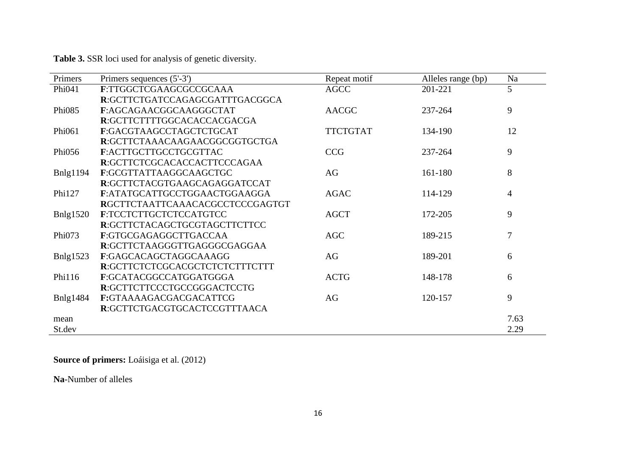**Table 3.** SSR loci used for analysis of genetic diversity.

| Primers          | Primers sequences (5'-3')       | Repeat motif    | Alleles range (bp) | Na   |
|------------------|---------------------------------|-----------------|--------------------|------|
| Phi041           | F:TTGGCTCGAAGCGCCGCAAA          | AGCC            | 201-221            | 5    |
|                  | R:GCTTCTGATCCAGAGCGATTTGACGGCA  |                 |                    |      |
| Phi085           | F:AGCAGAACGGCAAGGGCTAT          | <b>AACGC</b>    | 237-264            | 9    |
|                  | R:GCTTCTTTTGGCACACCACGACGA      |                 |                    |      |
| Phi061           | F:GACGTAAGCCTAGCTCTGCAT         | <b>TTCTGTAT</b> | 134-190            | 12   |
|                  | R:GCTTCTAAACAAGAACGGCGGTGCTGA   |                 |                    |      |
| Phi056           | F:ACTTGCTTGCCTGCGTTAC           | <b>CCG</b>      | 237-264            | 9    |
|                  | R:GCTTCTCGCACACCACTTCCCAGAA     |                 |                    |      |
| <b>B</b> nlg1194 | F:GCGTTATTAAGGCAAGCTGC          | AG              | 161-180            | 8    |
|                  | R:GCTTCTACGTGAAGCAGAGGATCCAT    |                 |                    |      |
| Phi127           | F:ATATGCATTGCCTGGAACTGGAAGGA    | <b>AGAC</b>     | 114-129            | 4    |
|                  | RGCTTCTAATTCAAACACGCCTCCCGAGTGT |                 |                    |      |
| Bnlg1520         | F:TCCTCTTGCTCTCCATGTCC          | <b>AGCT</b>     | 172-205            | 9    |
|                  | R:GCTTCTACAGCTGCGTAGCTTCTTCC    |                 |                    |      |
| Phi073           | F:GTGCGAGAGGCTTGACCAA           | <b>AGC</b>      | 189-215            | 7    |
|                  | R:GCTTCTAAGGGTTGAGGGCGAGGAA     |                 |                    |      |
| Bnlg $1523$      | F:GAGCACAGCTAGGCAAAGG           | AG              | 189-201            | 6    |
|                  | R:GCTTCTCTCGCACGCTCTCTCTTTCTTT  |                 |                    |      |
| Phi116           | F:GCATACGGCCATGGATGGGA          | <b>ACTG</b>     | 148-178            | 6    |
|                  | R:GCTTCTTCCCTGCCGGGACTCCTG      |                 |                    |      |
| <b>Bnlg1484</b>  | F:GTAAAAGACGACGACATTCG          | AG              | 120-157            | 9    |
|                  | R:GCTTCTGACGTGCACTCCGTTTAACA    |                 |                    |      |
| mean             |                                 |                 |                    | 7.63 |
| St.dev           |                                 |                 |                    | 2.29 |

**Source of primers:** Loáisiga et al. (2012)

**Na**-Number of alleles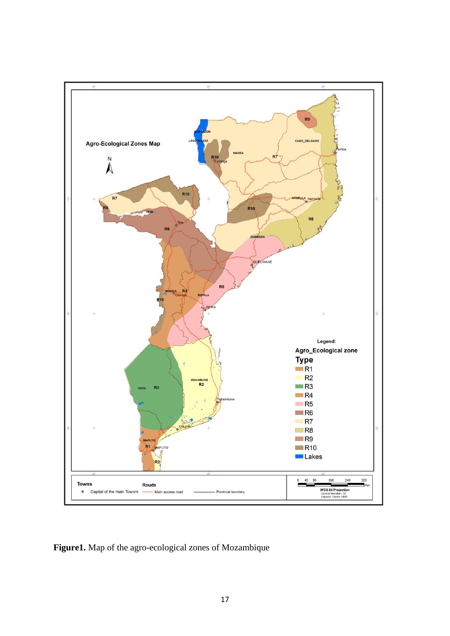

**Figure1.** Map of the agro-ecological zones of Mozambique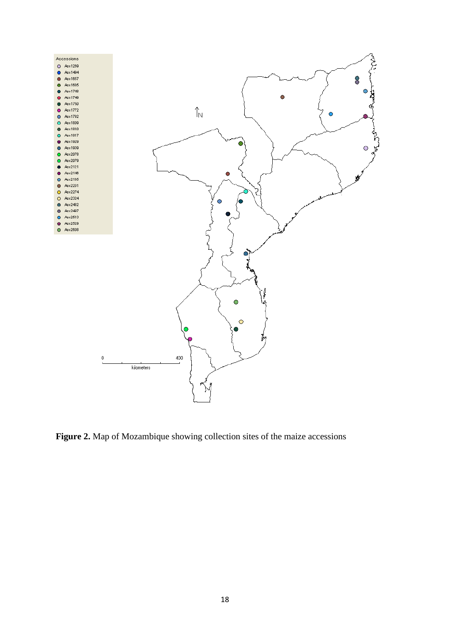

**Figure 2.** Map of Mozambique showing collection sites of the maize accessions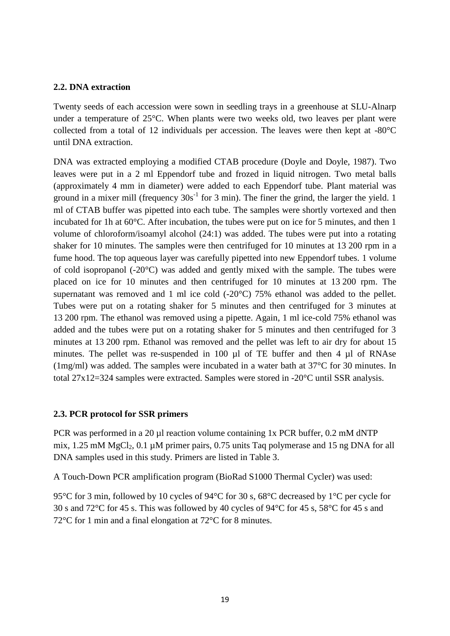## **2.2. DNA extraction**

Twenty seeds of each accession were sown in seedling trays in a greenhouse at SLU-Alnarp under a temperature of 25°C. When plants were two weeks old, two leaves per plant were collected from a total of 12 individuals per accession. The leaves were then kept at -80°C until DNA extraction.

DNA was extracted employing a modified CTAB procedure (Doyle and Doyle, 1987). Two leaves were put in a 2 ml Eppendorf tube and frozed in liquid nitrogen. Two metal balls (approximately 4 mm in diameter) were added to each Eppendorf tube. Plant material was ground in a mixer mill (frequency  $30s^{-1}$  for 3 min). The finer the grind, the larger the yield. 1 ml of CTAB buffer was pipetted into each tube. The samples were shortly vortexed and then incubated for 1h at 60°C. After incubation, the tubes were put on ice for 5 minutes, and then 1 volume of chloroform/isoamyl alcohol (24:1) was added. The tubes were put into a rotating shaker for 10 minutes. The samples were then centrifuged for 10 minutes at 13 200 rpm in a fume hood. The top aqueous layer was carefully pipetted into new Eppendorf tubes. 1 volume of cold isopropanol (-20°C) was added and gently mixed with the sample. The tubes were placed on ice for 10 minutes and then centrifuged for 10 minutes at 13 200 rpm. The supernatant was removed and 1 ml ice cold (-20°C) 75% ethanol was added to the pellet. Tubes were put on a rotating shaker for 5 minutes and then centrifuged for 3 minutes at 13 200 rpm. The ethanol was removed using a pipette. Again, 1 ml ice-cold 75% ethanol was added and the tubes were put on a rotating shaker for 5 minutes and then centrifuged for 3 minutes at 13 200 rpm. Ethanol was removed and the pellet was left to air dry for about 15 minutes. The pellet was re-suspended in 100 µl of TE buffer and then 4 µl of RNAse (1mg/ml) was added. The samples were incubated in a water bath at 37°C for 30 minutes. In total 27x12=324 samples were extracted. Samples were stored in -20°C until SSR analysis.

## **2.3. PCR protocol for SSR primers**

PCR was performed in a 20 µl reaction volume containing 1x PCR buffer, 0.2 mM dNTP mix,  $1.25 \text{ mM MgCl}_2$ ,  $0.1 \mu \text{M primer pairs}$ ,  $0.75 \text{ units}$  Taq polymerase and 15 ng DNA for all DNA samples used in this study. Primers are listed in Table 3.

A Touch-Down PCR amplification program (BioRad S1000 Thermal Cycler) was used:

95°C for 3 min, followed by 10 cycles of 94°C for 30 s, 68°C decreased by 1°C per cycle for 30 s and 72°C for 45 s. This was followed by 40 cycles of 94°C for 45 s, 58°C for 45 s and 72°C for 1 min and a final elongation at 72°C for 8 minutes.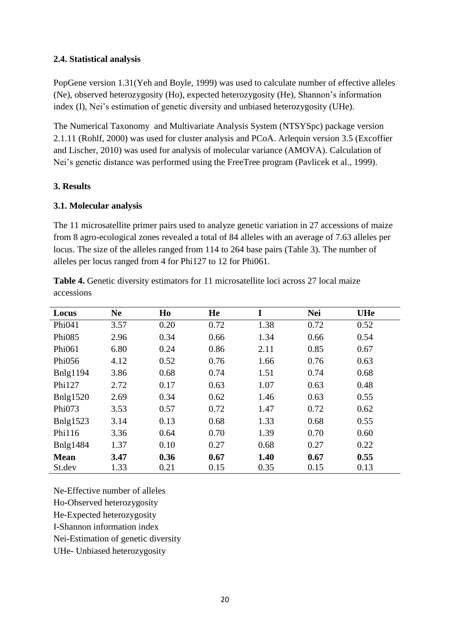# **2.4. Statistical analysis**

PopGene version 1.31(Yeh and Boyle, 1999) was used to calculate number of effective alleles (Ne), observed heterozygosity (Ho), expected heterozygosity (He), Shannon's information index (I), Nei's estimation of genetic diversity and unbiased heterozygosity (UHe).

The Numerical Taxonomy and Multivariate Analysis System (NTSYSpc) package version 2.1.11 (Rohlf, 2000) was used for cluster analysis and PCoA. Arlequin version 3.5 (Excoffier and Lischer, 2010) was used for analysis of molecular variance (AMOVA). Calculation of Nei's genetic distance was performed using the FreeTree program (Pavlicek et al., 1999).

## **3. Results**

# **3.1. Molecular analysis**

The 11 microsatellite primer pairs used to analyze genetic variation in 27 accessions of maize from 8 agro-ecological zones revealed a total of 84 alleles with an average of 7.63 alleles per locus. The size of the alleles ranged from 114 to 264 base pairs (Table 3). The number of alleles per locus ranged from 4 for Phi127 to 12 for Phi061.

**Table 4.** Genetic diversity estimators for 11 microsatellite loci across 27 local maize accessions

| Locus           | <b>Ne</b> | H <sub>0</sub> | He   | I    | <b>Nei</b> | <b>UHe</b> |
|-----------------|-----------|----------------|------|------|------------|------------|
| Phi041          | 3.57      | 0.20           | 0.72 | 1.38 | 0.72       | 0.52       |
| Phi085          | 2.96      | 0.34           | 0.66 | 1.34 | 0.66       | 0.54       |
| Phi061          | 6.80      | 0.24           | 0.86 | 2.11 | 0.85       | 0.67       |
| Phi056          | 4.12      | 0.52           | 0.76 | 1.66 | 0.76       | 0.63       |
| <b>Bnlg1194</b> | 3.86      | 0.68           | 0.74 | 1.51 | 0.74       | 0.68       |
| Phi127          | 2.72      | 0.17           | 0.63 | 1.07 | 0.63       | 0.48       |
| <b>Bnlg1520</b> | 2.69      | 0.34           | 0.62 | 1.46 | 0.63       | 0.55       |
| Phi073          | 3.53      | 0.57           | 0.72 | 1.47 | 0.72       | 0.62       |
| <b>Bnlg1523</b> | 3.14      | 0.13           | 0.68 | 1.33 | 0.68       | 0.55       |
| Phi116          | 3.36      | 0.64           | 0.70 | 1.39 | 0.70       | 0.60       |
| <b>Bnlg1484</b> | 1.37      | 0.10           | 0.27 | 0.68 | 0.27       | 0.22       |
| Mean            | 3.47      | 0.36           | 0.67 | 1.40 | 0.67       | 0.55       |
| St.dev          | 1.33      | 0.21           | 0.15 | 0.35 | 0.15       | 0.13       |

Ne-Effective number of alleles Ho-Observed heterozygosity He-Expected heterozygosity I-Shannon information index

Nei-Estimation of genetic diversity

UHe- Unbiased heterozygosity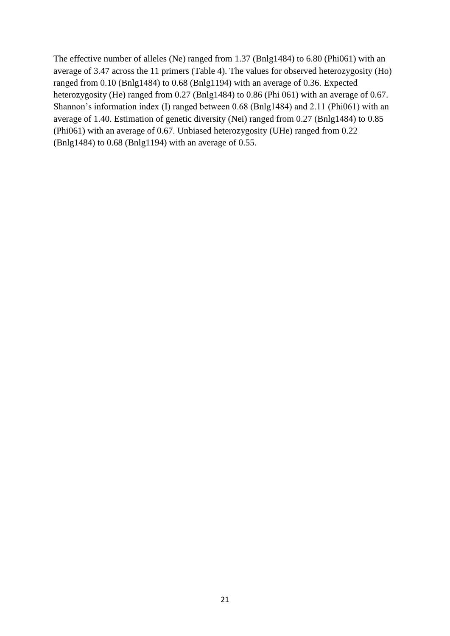The effective number of alleles (Ne) ranged from 1.37 (Bnlg1484) to 6.80 (Phi061) with an average of 3.47 across the 11 primers (Table 4). The values for observed heterozygosity (Ho) ranged from 0.10 (Bnlg1484) to 0.68 (Bnlg1194) with an average of 0.36. Expected heterozygosity (He) ranged from 0.27 (Bnlg1484) to 0.86 (Phi 061) with an average of 0.67. Shannon's information index (I) ranged between 0.68 (Bnlg1484) and 2.11 (Phi061) with an average of 1.40. Estimation of genetic diversity (Nei) ranged from 0.27 (Bnlg1484) to 0.85 (Phi061) with an average of 0.67. Unbiased heterozygosity (UHe) ranged from 0.22 (Bnlg1484) to 0.68 (Bnlg1194) with an average of 0.55.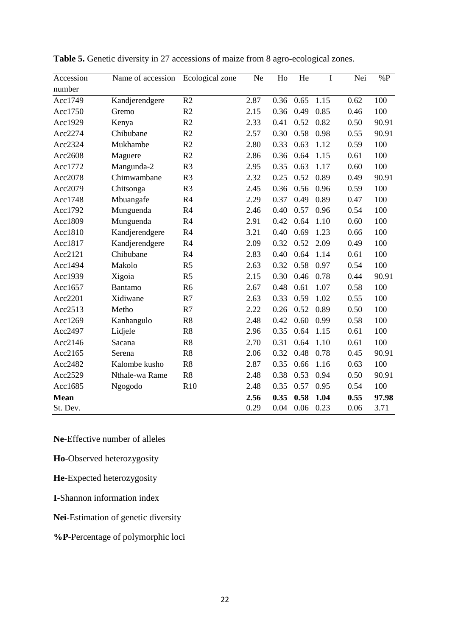| Accession | Name of accession | Ecological zone | Ne   | Ho   | He   | I    | Nei  | $\%P$ |
|-----------|-------------------|-----------------|------|------|------|------|------|-------|
| number    |                   |                 |      |      |      |      |      |       |
| Acc1749   | Kandjerendgere    | R2              | 2.87 | 0.36 | 0.65 | 1.15 | 0.62 | 100   |
| Acc1750   | Gremo             | R2              | 2.15 | 0.36 | 0.49 | 0.85 | 0.46 | 100   |
| Acc1929   | Kenya             | R2              | 2.33 | 0.41 | 0.52 | 0.82 | 0.50 | 90.91 |
| Acc2274   | Chibubane         | R2              | 2.57 | 0.30 | 0.58 | 0.98 | 0.55 | 90.91 |
| Acc2324   | Mukhambe          | R2              | 2.80 | 0.33 | 0.63 | 1.12 | 0.59 | 100   |
| Acc2608   | Maguere           | R2              | 2.86 | 0.36 | 0.64 | 1.15 | 0.61 | 100   |
| Acc1772   | Mangunda-2        | R <sub>3</sub>  | 2.95 | 0.35 | 0.63 | 1.17 | 0.60 | 100   |
| Acc2078   | Chimwambane       | R <sub>3</sub>  | 2.32 | 0.25 | 0.52 | 0.89 | 0.49 | 90.91 |
| Acc2079   | Chitsonga         | R <sub>3</sub>  | 2.45 | 0.36 | 0.56 | 0.96 | 0.59 | 100   |
| Acc1748   | Mbuangafe         | R4              | 2.29 | 0.37 | 0.49 | 0.89 | 0.47 | 100   |
| Acc1792   | Munguenda         | R <sub>4</sub>  | 2.46 | 0.40 | 0.57 | 0.96 | 0.54 | 100   |
| Acc1809   | Munguenda         | R <sub>4</sub>  | 2.91 | 0.42 | 0.64 | 1.10 | 0.60 | 100   |
| Acc1810   | Kandjerendgere    | R <sub>4</sub>  | 3.21 | 0.40 | 0.69 | 1.23 | 0.66 | 100   |
| Acc1817   | Kandjerendgere    | R4              | 2.09 | 0.32 | 0.52 | 2.09 | 0.49 | 100   |
| Acc2121   | Chibubane         | R4              | 2.83 | 0.40 | 0.64 | 1.14 | 0.61 | 100   |
| Acc1494   | Makolo            | R <sub>5</sub>  | 2.63 | 0.32 | 0.58 | 0.97 | 0.54 | 100   |
| Acc1939   | Xigoia            | R <sub>5</sub>  | 2.15 | 0.30 | 0.46 | 0.78 | 0.44 | 90.91 |
| Acc1657   | Bantamo           | R <sub>6</sub>  | 2.67 | 0.48 | 0.61 | 1.07 | 0.58 | 100   |
| Acc2201   | Xidiwane          | R7              | 2.63 | 0.33 | 0.59 | 1.02 | 0.55 | 100   |
| Acc2513   | Metho             | R7              | 2.22 | 0.26 | 0.52 | 0.89 | 0.50 | 100   |
| Acc1269   | Kanhangulo        | R8              | 2.48 | 0.42 | 0.60 | 0.99 | 0.58 | 100   |
| Acc2497   | Lidjele           | R8              | 2.96 | 0.35 | 0.64 | 1.15 | 0.61 | 100   |
| Acc2146   | Sacana            | R8              | 2.70 | 0.31 | 0.64 | 1.10 | 0.61 | 100   |
| Acc2165   | Serena            | R8              | 2.06 | 0.32 | 0.48 | 0.78 | 0.45 | 90.91 |
| Acc2482   | Kalombe kusho     | R <sub>8</sub>  | 2.87 | 0.35 | 0.66 | 1.16 | 0.63 | 100   |
| Acc2529   | Nthale-wa Rame    | R8              | 2.48 | 0.38 | 0.53 | 0.94 | 0.50 | 90.91 |
| Acc1685   | Ngogodo           | R10             | 2.48 | 0.35 | 0.57 | 0.95 | 0.54 | 100   |
| Mean      |                   |                 | 2.56 | 0.35 | 0.58 | 1.04 | 0.55 | 97.98 |
| St. Dev.  |                   |                 | 0.29 | 0.04 | 0.06 | 0.23 | 0.06 | 3.71  |

**Table 5.** Genetic diversity in 27 accessions of maize from 8 agro-ecological zones.

**Ne**-Effective number of alleles

**Ho**-Observed heterozygosity

**He**-Expected heterozygosity

**I-**Shannon information index

**Nei-**Estimation of genetic diversity

**%P**-Percentage of polymorphic loci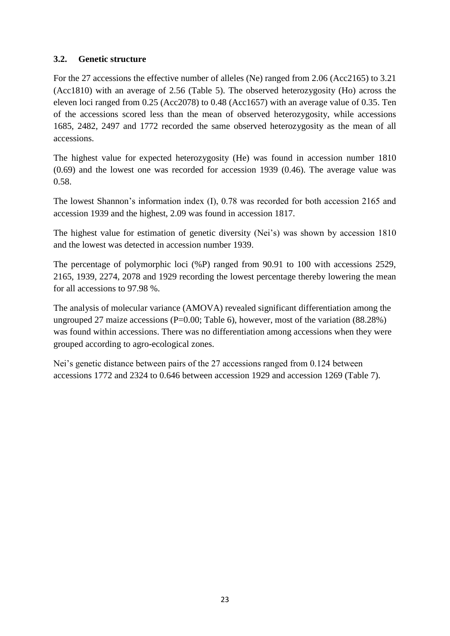# **3.2. Genetic structure**

For the 27 accessions the effective number of alleles (Ne) ranged from 2.06 (Acc2165) to 3.21 (Acc1810) with an average of 2.56 (Table 5). The observed heterozygosity (Ho) across the eleven loci ranged from 0.25 (Acc2078) to 0.48 (Acc1657) with an average value of 0.35. Ten of the accessions scored less than the mean of observed heterozygosity, while accessions 1685, 2482, 2497 and 1772 recorded the same observed heterozygosity as the mean of all accessions.

The highest value for expected heterozygosity (He) was found in accession number 1810 (0.69) and the lowest one was recorded for accession 1939 (0.46). The average value was 0.58.

The lowest Shannon's information index (I), 0.78 was recorded for both accession 2165 and accession 1939 and the highest, 2.09 was found in accession 1817.

The highest value for estimation of genetic diversity (Nei's) was shown by accession 1810 and the lowest was detected in accession number 1939.

The percentage of polymorphic loci (%P) ranged from 90.91 to 100 with accessions 2529, 2165, 1939, 2274, 2078 and 1929 recording the lowest percentage thereby lowering the mean for all accessions to 97.98 %.

The analysis of molecular variance (AMOVA) revealed significant differentiation among the ungrouped 27 maize accessions ( $P=0.00$ ; Table 6), however, most of the variation (88.28%) was found within accessions. There was no differentiation among accessions when they were grouped according to agro-ecological zones.

Nei's genetic distance between pairs of the 27 accessions ranged from 0.124 between accessions 1772 and 2324 to 0.646 between accession 1929 and accession 1269 (Table 7).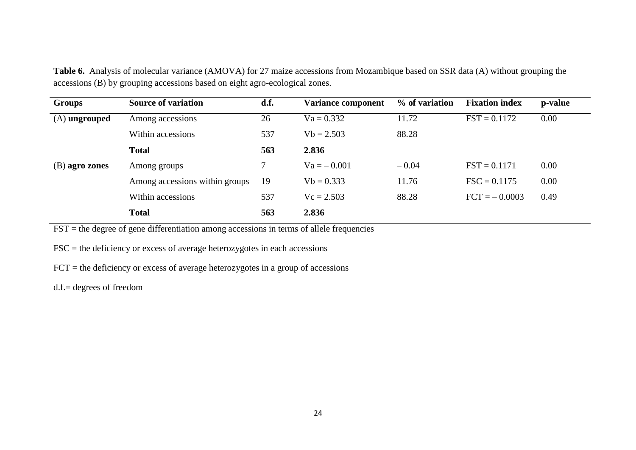| <b>Groups</b>   | <b>Source of variation</b>     | d.f. | <b>Variance component</b> | % of variation | <b>Fixation index</b> | p-value |
|-----------------|--------------------------------|------|---------------------------|----------------|-----------------------|---------|
| $(A)$ ungrouped | Among accessions               | 26   | $Va = 0.332$              | 11.72          | $FST = 0.1172$        | 0.00    |
|                 | Within accessions              | 537  | $Vb = 2.503$              | 88.28          |                       |         |
|                 | <b>Total</b>                   | 563  | 2.836                     |                |                       |         |
| (B) agro zones  | Among groups                   |      | $Va = -0.001$             | $-0.04$        | $FST = 0.1171$        | 0.00    |
|                 | Among accessions within groups | 19   | $Vb = 0.333$              | 11.76          | $\text{FSC} = 0.1175$ | 0.00    |
|                 | Within accessions              | 537  | $Vc = 2.503$              | 88.28          | $FCT = -0.0003$       | 0.49    |
|                 | <b>Total</b>                   | 563  | 2.836                     |                |                       |         |

**Table 6.** Analysis of molecular variance (AMOVA) for 27 maize accessions from Mozambique based on SSR data (A) without grouping the accessions (B) by grouping accessions based on eight agro-ecological zones.

 $FST =$  the degree of gene differentiation among accessions in terms of allele frequencies

 $FSC =$  the deficiency or excess of average heterozygotes in each accessions

FCT = the deficiency or excess of average heterozygotes in a group of accessions

d.f.= degrees of freedom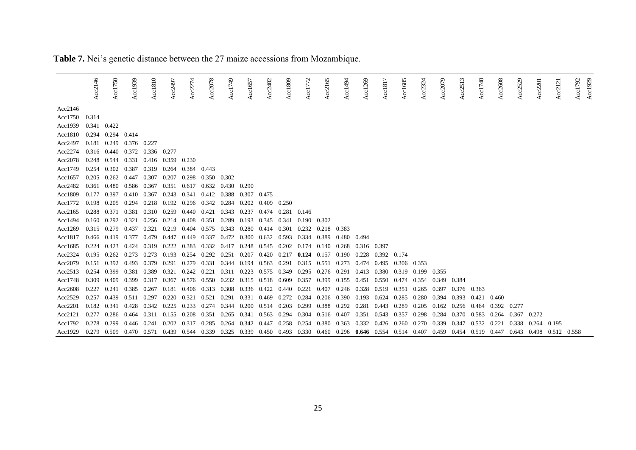|               | Acc2146     | Acc1750     | Acc1939           | Acc $1810$                    | Acc2497 | Acc2274           | Acc2078             | Acc1749 | Acc1657           | Acc2482 | Acc1809 | Acc1772 | Acc2165 | Acc1494     | Acc1269     | Acc $1817$ | Acc1685                                                 | Acc2324 | Acc2079 | $\mathbf{r}$<br>Acc <sub>25</sub> | Acc1748           | Acc2608 | Acc2529 | Acc2201 | Acc212                  | Acc1929<br>Acc1792 |
|---------------|-------------|-------------|-------------------|-------------------------------|---------|-------------------|---------------------|---------|-------------------|---------|---------|---------|---------|-------------|-------------|------------|---------------------------------------------------------|---------|---------|-----------------------------------|-------------------|---------|---------|---------|-------------------------|--------------------|
| Acc2146       |             |             |                   |                               |         |                   |                     |         |                   |         |         |         |         |             |             |            |                                                         |         |         |                                   |                   |         |         |         |                         |                    |
| Acc1750 0.314 |             |             |                   |                               |         |                   |                     |         |                   |         |         |         |         |             |             |            |                                                         |         |         |                                   |                   |         |         |         |                         |                    |
| Acc1939       | 0.341 0.422 |             |                   |                               |         |                   |                     |         |                   |         |         |         |         |             |             |            |                                                         |         |         |                                   |                   |         |         |         |                         |                    |
| Acc1810       | 0.294       | 0.294 0.414 |                   |                               |         |                   |                     |         |                   |         |         |         |         |             |             |            |                                                         |         |         |                                   |                   |         |         |         |                         |                    |
| Acc2497       | 0.181       |             | 0.249 0.376 0.227 |                               |         |                   |                     |         |                   |         |         |         |         |             |             |            |                                                         |         |         |                                   |                   |         |         |         |                         |                    |
| Acc2274       |             |             |                   | 0.316 0.440 0.372 0.336 0.277 |         |                   |                     |         |                   |         |         |         |         |             |             |            |                                                         |         |         |                                   |                   |         |         |         |                         |                    |
| Acc2078       | 0.248       | 0.544       |                   | 0.331 0.416 0.359 0.230       |         |                   |                     |         |                   |         |         |         |         |             |             |            |                                                         |         |         |                                   |                   |         |         |         |                         |                    |
| Acc1749       | 0.254       | 0.302       | 0.387             | 0.319                         | 0.264   | 0.384             | 0.443               |         |                   |         |         |         |         |             |             |            |                                                         |         |         |                                   |                   |         |         |         |                         |                    |
| Acc1657       | 0.205       | 0.262       | 0.447             | 0.307                         | 0.207   | 0.298             | 0.350               | 0.302   |                   |         |         |         |         |             |             |            |                                                         |         |         |                                   |                   |         |         |         |                         |                    |
| Acc2482       | 0.361       | 0.480       | 0.586 0.367       |                               | 0.351   | 0.617 0.632       |                     | 0.430   | 0.290             |         |         |         |         |             |             |            |                                                         |         |         |                                   |                   |         |         |         |                         |                    |
| Acc1809       | 0.177       | 0.397       | 0.410 0.367       |                               | 0.243   | 0.341             | 0.412               | 0.388   | 0.307             | 0.475   |         |         |         |             |             |            |                                                         |         |         |                                   |                   |         |         |         |                         |                    |
| Acc1772       | 0.198       | 0.205       | 0.294             | 0.218                         |         | 0.192 0.296 0.342 |                     | 0.284   | 0.202             | 0.409   | 0.250   |         |         |             |             |            |                                                         |         |         |                                   |                   |         |         |         |                         |                    |
| Acc2165       | 0.288       | 0.371       | 0.381             | 0.310                         | 0.259   | 0.440             | 0.421               | 0.343   | 0.237             | 0.474   | 0.281   | 0.146   |         |             |             |            |                                                         |         |         |                                   |                   |         |         |         |                         |                    |
| Acc1494       | 0.160       | 0.292       | 0.321             | 0.256                         | 0.214   | 0.408             | 0.351               | 0.289   | 0.193             | 0.345   | 0.341   | 0.190   | 0.302   |             |             |            |                                                         |         |         |                                   |                   |         |         |         |                         |                    |
| Acc1269       | 0.315       | 0.279       | 0.437             | 0.321                         | 0.219   | 0.404             | 0.575               | 0.343   | 0.280             | 0.414   | 0.301   | 0.232   | 0.218   | 0.383       |             |            |                                                         |         |         |                                   |                   |         |         |         |                         |                    |
| Acc1817       | 0.466       | 0.419       | 0.377             | 0.479                         | 0.447   | 0.449             | 0.337               | 0.472   | 0.300             | 0.632   | 0.593   | 0.334   | 0.389   | 0.480       | 0.494       |            |                                                         |         |         |                                   |                   |         |         |         |                         |                    |
| Acc $1685$    | 0.224       | 0.423       | 0.424             | 0.319                         | 0.222   | 0.383             | 0.332               | 0.417   | 0.248             | 0.545   | 0.202   | 0.174   | 0.140   | 0.268       | 0.316 0.397 |            |                                                         |         |         |                                   |                   |         |         |         |                         |                    |
| Acc2324       | 0.195       | 0.262       | 0.273             | 0.273                         | 0.193   | 0.254             | 0.292               | 0.251   | 0.207             | 0.420   | 0.217   | 0.124   | 0.157   | 0.190       | 0.228       | 0.392      | 0.174                                                   |         |         |                                   |                   |         |         |         |                         |                    |
| Acc2079       | 0.151       | 0.392       | 0.493             | 0.379                         | 0.291   | 0.279             | 0.331               | 0.344   | 0.194             | 0.563   | 0.291   | 0.315   | 0.551   | 0.273       | 0.474       | 0.495      | 0.306 0.353                                             |         |         |                                   |                   |         |         |         |                         |                    |
| Acc2513       | 0.254       | 0.399       | 0.381             | 0.389                         | 0.321   |                   | $0.242 \quad 0.221$ |         | 0.311 0.223       | 0.575   | 0.349   | 0.295   | 0.276   | 0.291       | 0.413       | 0.380      | 0.319 0.199                                             |         | 0.355   |                                   |                   |         |         |         |                         |                    |
| Acc1748       | 0.309       | 0.409       | 0.399             | 0.317                         | 0.367   |                   | 0.576 0.550         | 0.232   | 0.315             | 0.518   | 0.609   | 0.357   | 0.399   | 0.155       | 0.451       | 0.550      | 0.474                                                   | 0.354   | 0.349   | 0.384                             |                   |         |         |         |                         |                    |
| Acc2608       | 0.227       | 0.241       | 0.385             | 0.267                         | 0.181   |                   | 0.406 0.313         | 0.308   | 0.336 0.422       |         | 0.440   | 0.221   | 0.407   |             | 0.246 0.328 | 0.519      | 0.351                                                   | 0.265   | 0.397   | 0.376 0.363                       |                   |         |         |         |                         |                    |
| Acc2529       | 0.257       | 0.439       | 0.511             | 0.297                         | 0.220   | 0.321             | 0.521               | 0.291   | 0.331             | 0.469   | 0.272   | 0.284   | 0.206   | 0.390       | 0.193       | 0.624      | 0.285                                                   | 0.280   | 0.394   | 0.393                             | 0.421             | 0.460   |         |         |                         |                    |
| Acc2201       | 0.182       | 0.341       | 0.428             | 0.342                         | 0.225   | 0.233             | 0.274               | 0.344   | 0.200             | 0.514   | 0.203   | 0.299   | 0.388   | 0.292       | 0.281       | 0.443      | 0.289                                                   | 0.205   | 0.162   | 0.256                             | 0.464             | 0.392   | 0.277   |         |                         |                    |
| Acc2121       | 0.277       | 0.286       | 0.464             | 0.311                         | 0.155   | 0.208             | 0.351               | 0.265   | 0.341             | 0.563   | 0.294   | 0.304   |         | 0.516 0.407 | 0.351       | 0.543      | 0.357                                                   | 0.298   | 0.284   | 0.370                             | 0.583             | 0.264   | 0.367   | 0.272   |                         |                    |
| Acc1792       | 0.278       | 0.299       | 0.446             | 0.241                         | 0.202   | 0.317             | 0.285               | 0.264   | 0.342             | 0.447   | 0.258   | 0.254   | 0.380   | 0.363       | 0.332       | 0.426      | 0.260                                                   | 0.270   | 0.339   | 0.347                             | 0.532             | 0.221   | 0.338   | 0.264   | 0.195                   |                    |
| Acc1929       | 0.279       | 0.509       |                   | 0.470 0.571                   |         | 0.439 0.544 0.339 |                     | 0.325   | 0.339 0.450 0.493 |         |         |         |         |             |             |            | $0.330$ $0.460$ $0.296$ $0.646$ $0.554$ $0.514$ $0.407$ |         | 0.459   |                                   | 0.454 0.519 0.447 |         |         |         | 0.643 0.498 0.512 0.558 |                    |

**Table 7.** Nei's genetic distance between the 27 maize accessions from Mozambique.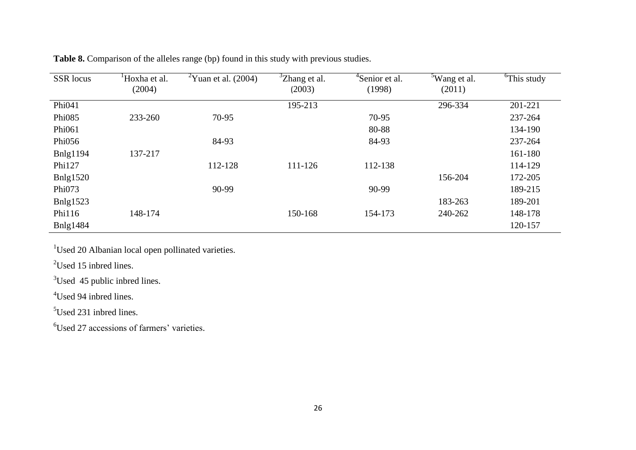| <b>SSR</b> locus | Hoxha et al. | $\mathrm{Y}$ <sup>2</sup> Yuan et al. (2004) | <sup>3</sup> Zhang et al. | <sup>4</sup> Senior et al. | <sup>5</sup> Wang et al. | <sup>6</sup> This study |
|------------------|--------------|----------------------------------------------|---------------------------|----------------------------|--------------------------|-------------------------|
|                  | (2004)       |                                              | (2003)                    | (1998)                     | (2011)                   |                         |
| Phi041           |              |                                              | 195-213                   |                            | 296-334                  | 201-221                 |
| Phi085           | 233-260      | 70-95                                        |                           | 70-95                      |                          | 237-264                 |
| Phi061           |              |                                              |                           | 80-88                      |                          | 134-190                 |
| Phi056           |              | 84-93                                        |                           | 84-93                      |                          | 237-264                 |
| <b>Bnlg1194</b>  | 137-217      |                                              |                           |                            |                          | 161-180                 |
| Phi127           |              | 112-128                                      | 111-126                   | 112-138                    |                          | 114-129                 |
| Bnlg1520         |              |                                              |                           |                            | 156-204                  | 172-205                 |
| Phi073           |              | 90-99                                        |                           | 90-99                      |                          | 189-215                 |
| Bnlg1523         |              |                                              |                           |                            | 183-263                  | 189-201                 |
| Phi116           | 148-174      |                                              | 150-168                   | 154-173                    | 240-262                  | 148-178                 |
| <b>B</b> nlg1484 |              |                                              |                           |                            |                          | 120-157                 |

**Table 8.** Comparison of the alleles range (bp) found in this study with previous studies.

<sup>1</sup>Used 20 Albanian local open pollinated varieties.

<sup>2</sup>Used 15 inbred lines.

<sup>3</sup>Used 45 public inbred lines.

<sup>4</sup>Used 94 inbred lines.

<sup>5</sup>Used 231 inbred lines.

<sup>6</sup>Used 27 accessions of farmers' varieties.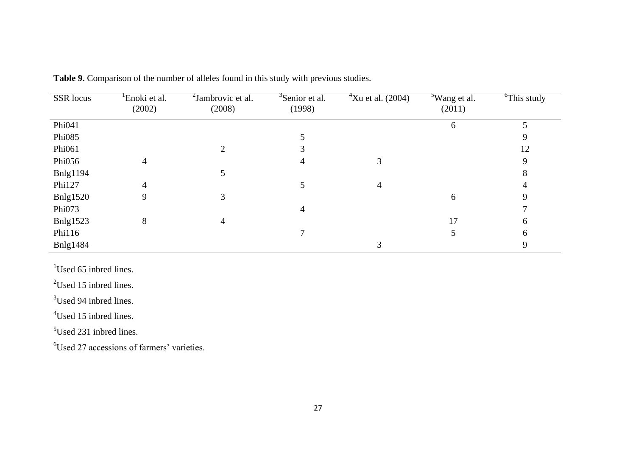| SSR locus       | Enoki et al.<br>(2002) | <sup>2</sup> Jambrovic et al.<br>(2008) | <sup>3</sup> Senior et al.<br>(1998) | $4$ Xu et al. (2004) | <sup>5</sup> Wang et al.<br>(2011) | <sup>6</sup> This study |
|-----------------|------------------------|-----------------------------------------|--------------------------------------|----------------------|------------------------------------|-------------------------|
|                 |                        |                                         |                                      |                      |                                    |                         |
| Phi041          |                        |                                         |                                      |                      | $\mathfrak b$                      |                         |
| Phi085          |                        |                                         |                                      |                      |                                    |                         |
| Phi061          |                        |                                         |                                      |                      |                                    | 12                      |
| Phi056          |                        |                                         | 4                                    |                      |                                    | Q                       |
| <b>Bnlg1194</b> |                        |                                         |                                      |                      |                                    |                         |
| Phi127          | 4                      |                                         |                                      | 4                    |                                    |                         |
| Bnlg1520        | 9                      |                                         |                                      |                      | 6                                  |                         |
| Phi073          |                        |                                         | 4                                    |                      |                                    |                         |
| Bnlg1523        | 8                      |                                         |                                      |                      | 17                                 | h.                      |
| Phi116          |                        |                                         |                                      |                      |                                    |                         |
| <b>Bnlg1484</b> |                        |                                         |                                      |                      |                                    |                         |

| <b>Table 9.</b> Comparison of the number of alleles found in this study with previous studies. |  |  |  |
|------------------------------------------------------------------------------------------------|--|--|--|
|------------------------------------------------------------------------------------------------|--|--|--|

<sup>1</sup>Used 65 inbred lines.

<sup>2</sup>Used 15 inbred lines.

<sup>3</sup>Used 94 inbred lines.

<sup>4</sup>Used 15 inbred lines.

<sup>5</sup>Used 231 inbred lines.

<sup>6</sup>Used 27 accessions of farmers' varieties.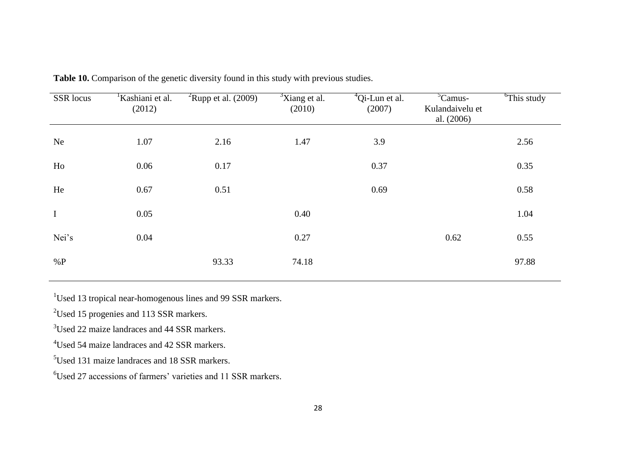| SSR locus   | <sup>1</sup> Kashiani et al.<br>(2012) | <sup>2</sup> Rupp et al. $(2009)$ | $\frac{3}{3}$ Xiang et al.<br>(2010) | $^{4}$ Qi-Lun et al.<br>(2007) | ${}^5$ Camus-<br>Kulandaivelu et<br>al. $(2006)$ | <sup>6</sup> This study |
|-------------|----------------------------------------|-----------------------------------|--------------------------------------|--------------------------------|--------------------------------------------------|-------------------------|
| <b>Ne</b>   | 1.07                                   | 2.16                              | 1.47                                 | 3.9                            |                                                  | 2.56                    |
| Ho          | 0.06                                   | 0.17                              |                                      | 0.37                           |                                                  | 0.35                    |
| He          | 0.67                                   | 0.51                              |                                      | 0.69                           |                                                  | 0.58                    |
| $\mathbf I$ | 0.05                                   |                                   | 0.40                                 |                                |                                                  | 1.04                    |
| Nei's       | 0.04                                   |                                   | 0.27                                 |                                | 0.62                                             | 0.55                    |
| $\%P$       |                                        | 93.33                             | 74.18                                |                                |                                                  | 97.88                   |

**Table 10.** Comparison of the genetic diversity found in this study with previous studies.

<sup>1</sup>Used 13 tropical near-homogenous lines and 99 SSR markers.

<sup>2</sup>Used 15 progenies and 113 SSR markers.

<sup>3</sup>Used 22 maize landraces and 44 SSR markers.

<sup>4</sup>Used 54 maize landraces and 42 SSR markers.

<sup>5</sup>Used 131 maize landraces and 18 SSR markers.

<sup>6</sup>Used 27 accessions of farmers' varieties and 11 SSR markers.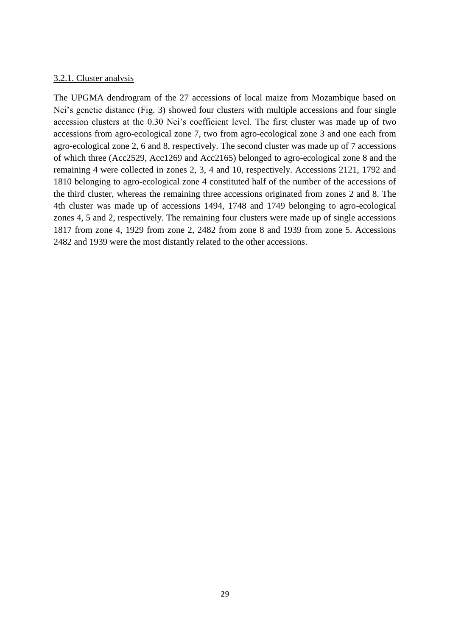#### 3.2.1. Cluster analysis

The UPGMA dendrogram of the 27 accessions of local maize from Mozambique based on Nei's genetic distance (Fig. 3) showed four clusters with multiple accessions and four single accession clusters at the 0.30 Nei's coefficient level. The first cluster was made up of two accessions from agro-ecological zone 7, two from agro-ecological zone 3 and one each from agro-ecological zone 2, 6 and 8, respectively. The second cluster was made up of 7 accessions of which three (Acc2529, Acc1269 and Acc2165) belonged to agro-ecological zone 8 and the remaining 4 were collected in zones 2, 3, 4 and 10, respectively. Accessions 2121, 1792 and 1810 belonging to agro-ecological zone 4 constituted half of the number of the accessions of the third cluster, whereas the remaining three accessions originated from zones 2 and 8. The 4th cluster was made up of accessions 1494, 1748 and 1749 belonging to agro-ecological zones 4, 5 and 2, respectively. The remaining four clusters were made up of single accessions 1817 from zone 4, 1929 from zone 2, 2482 from zone 8 and 1939 from zone 5. Accessions 2482 and 1939 were the most distantly related to the other accessions.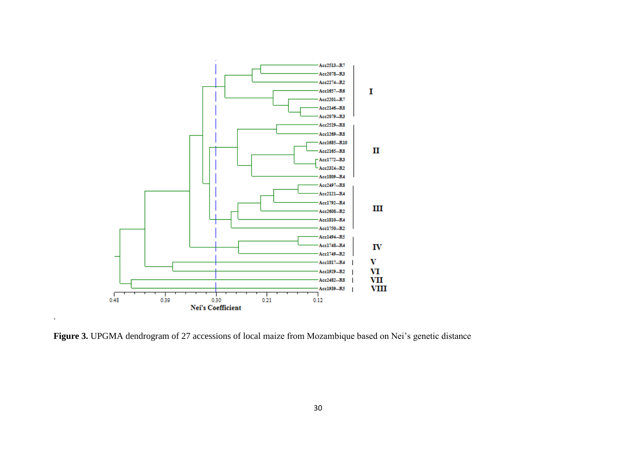

**Figure 3.** UPGMA dendrogram of 27 accessions of local maize from Mozambique based on Nei's genetic distance

.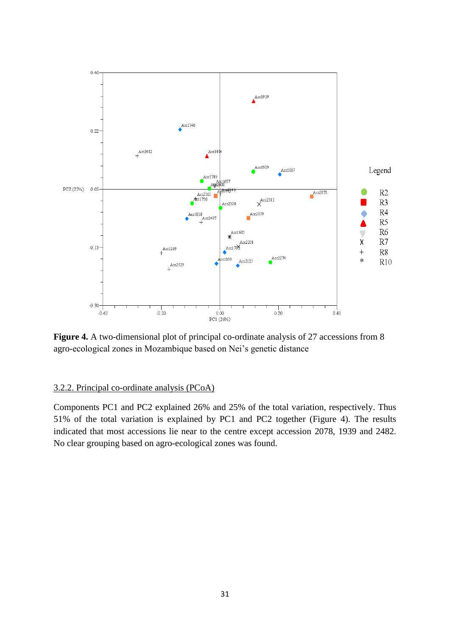

**Figure 4.** A two-dimensional plot of principal co-ordinate analysis of 27 accessions from 8 agro-ecological zones in Mozambique based on Nei's genetic distance

#### 3.2.2. Principal co-ordinate analysis (PCoA)

Components PC1 and PC2 explained 26% and 25% of the total variation, respectively. Thus 51% of the total variation is explained by PC1 and PC2 together (Figure 4). The results indicated that most accessions lie near to the centre except accession 2078, 1939 and 2482. No clear grouping based on agro-ecological zones was found.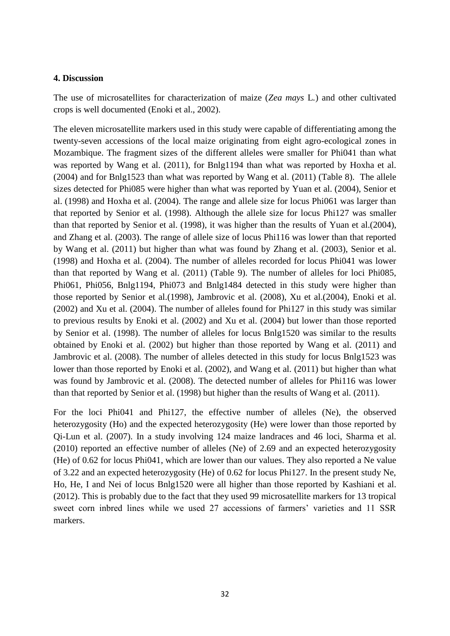#### **4. Discussion**

The use of microsatellites for characterization of maize (*Zea mays* L*.*) and other cultivated crops is well documented (Enoki et al., 2002).

The eleven microsatellite markers used in this study were capable of differentiating among the twenty-seven accessions of the local maize originating from eight agro-ecological zones in Mozambique. The fragment sizes of the different alleles were smaller for Phi041 than what was reported by Wang et al. (2011), for Bnlg1194 than what was reported by Hoxha et al. (2004) and for Bnlg1523 than what was reported by Wang et al. (2011) (Table 8). The allele sizes detected for Phi085 were higher than what was reported by Yuan et al. (2004), Senior et al. (1998) and Hoxha et al. (2004). The range and allele size for locus Phi061 was larger than that reported by Senior et al. (1998). Although the allele size for locus Phi127 was smaller than that reported by Senior et al. (1998), it was higher than the results of Yuan et al.(2004), and Zhang et al. (2003). The range of allele size of locus Phi116 was lower than that reported by Wang et al. (2011) but higher than what was found by Zhang et al. (2003), Senior et al. (1998) and Hoxha et al. (2004). The number of alleles recorded for locus Phi041 was lower than that reported by Wang et al. (2011) (Table 9). The number of alleles for loci Phi085, Phi061, Phi056, Bnlg1194, Phi073 and Bnlg1484 detected in this study were higher than those reported by Senior et al.(1998), Jambrovic et al. (2008), Xu et al.(2004), Enoki et al. (2002) and Xu et al. (2004). The number of alleles found for Phi127 in this study was similar to previous results by Enoki et al. (2002) and Xu et al. (2004) but lower than those reported by Senior et al. (1998). The number of alleles for locus Bnlg1520 was similar to the results obtained by Enoki et al. (2002) but higher than those reported by Wang et al. (2011) and Jambrovic et al. (2008). The number of alleles detected in this study for locus Bnlg1523 was lower than those reported by Enoki et al. (2002), and Wang et al. (2011) but higher than what was found by Jambrovic et al. (2008). The detected number of alleles for Phi116 was lower than that reported by Senior et al. (1998) but higher than the results of Wang et al. (2011).

For the loci Phi041 and Phi127, the effective number of alleles (Ne), the observed heterozygosity (Ho) and the expected heterozygosity (He) were lower than those reported by Qi-Lun et al. (2007). In a study involving 124 maize landraces and 46 loci, Sharma et al. (2010) reported an effective number of alleles (Ne) of 2.69 and an expected heterozygosity (He) of 0.62 for locus Phi041, which are lower than our values. They also reported a Ne value of 3.22 and an expected heterozygosity (He) of 0.62 for locus Phi127. In the present study Ne, Ho, He, I and Nei of locus Bnlg1520 were all higher than those reported by Kashiani et al. (2012). This is probably due to the fact that they used 99 microsatellite markers for 13 tropical sweet corn inbred lines while we used 27 accessions of farmers' varieties and 11 SSR markers.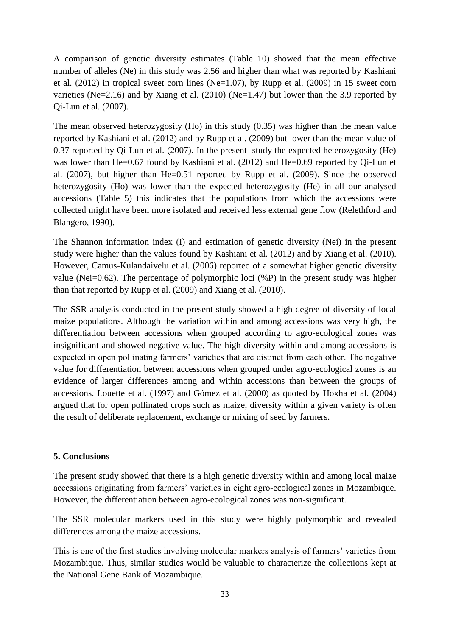A comparison of genetic diversity estimates (Table 10) showed that the mean effective number of alleles (Ne) in this study was 2.56 and higher than what was reported by Kashiani et al. (2012) in tropical sweet corn lines (Ne=1.07), by Rupp et al. (2009) in 15 sweet corn varieties (Ne=2.16) and by Xiang et al. (2010) (Ne=1.47) but lower than the 3.9 reported by Qi-Lun et al. (2007).

The mean observed heterozygosity (Ho) in this study (0.35) was higher than the mean value reported by Kashiani et al. (2012) and by Rupp et al. (2009) but lower than the mean value of 0.37 reported by Qi-Lun et al. (2007). In the present study the expected heterozygosity (He) was lower than He=0.67 found by Kashiani et al. (2012) and He=0.69 reported by Oi-Lun et al. (2007), but higher than He=0.51 reported by Rupp et al. (2009). Since the observed heterozygosity (Ho) was lower than the expected heterozygosity (He) in all our analysed accessions (Table 5) this indicates that the populations from which the accessions were collected might have been more isolated and received less external gene flow (Relethford and Blangero, 1990).

The Shannon information index (I) and estimation of genetic diversity (Nei) in the present study were higher than the values found by Kashiani et al. (2012) and by Xiang et al. (2010). However, Camus-Kulandaivelu et al. (2006) reported of a somewhat higher genetic diversity value (Nei=0.62). The percentage of polymorphic loci  $(\%P)$  in the present study was higher than that reported by Rupp et al. (2009) and Xiang et al. (2010).

The SSR analysis conducted in the present study showed a high degree of diversity of local maize populations. Although the variation within and among accessions was very high, the differentiation between accessions when grouped according to agro-ecological zones was insignificant and showed negative value. The high diversity within and among accessions is expected in open pollinating farmers' varieties that are distinct from each other. The negative value for differentiation between accessions when grouped under agro-ecological zones is an evidence of larger differences among and within accessions than between the groups of accessions. Louette et al. (1997) and Gómez et al. (2000) as quoted by Hoxha et al. (2004) argued that for open pollinated crops such as maize, diversity within a given variety is often the result of deliberate replacement, exchange or mixing of seed by farmers.

## **5. Conclusions**

The present study showed that there is a high genetic diversity within and among local maize accessions originating from farmers' varieties in eight agro-ecological zones in Mozambique. However, the differentiation between agro-ecological zones was non-significant.

The SSR molecular markers used in this study were highly polymorphic and revealed differences among the maize accessions.

This is one of the first studies involving molecular markers analysis of farmers' varieties from Mozambique. Thus, similar studies would be valuable to characterize the collections kept at the National Gene Bank of Mozambique.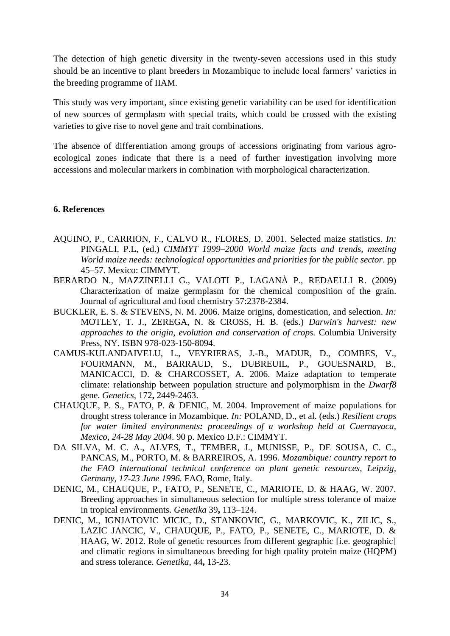The detection of high genetic diversity in the twenty-seven accessions used in this study should be an incentive to plant breeders in Mozambique to include local farmers' varieties in the breeding programme of IIAM.

This study was very important, since existing genetic variability can be used for identification of new sources of germplasm with special traits, which could be crossed with the existing varieties to give rise to novel gene and trait combinations.

The absence of differentiation among groups of accessions originating from various agroecological zones indicate that there is a need of further investigation involving more accessions and molecular markers in combination with morphological characterization.

#### **6. References**

- AQUINO, P., CARRION, F., CALVO R., FLORES, D. 2001. Selected maize statistics. *In:* PINGALI, P.L, (ed.) *CIMMYT 1999–2000 World maize facts and trends, meeting World maize needs: technological opportunities and priorities for the public sector*. pp 45–57. Mexico: CIMMYT.
- BERARDO N., MAZZINELLI G., VALOTI P., LAGANÀ P., REDAELLI R. (2009) Characterization of maize germplasm for the chemical composition of the grain. Journal of agricultural and food chemistry 57:2378-2384.
- BUCKLER, E. S. & STEVENS, N. M. 2006. Maize origins, domestication, and selection. *In:* MOTLEY, T. J., ZEREGA, N. & CROSS, H. B. (eds.) *Darwin's harvest: new approaches to the origin, evolution and conservation of crops.* Columbia University Press, NY. ISBN 978-023-150-8094.
- CAMUS-KULANDAIVELU, L., VEYRIERAS, J.-B., MADUR, D., COMBES, V., FOURMANN, M., BARRAUD, S., DUBREUIL, P., GOUESNARD, B., MANICACCI, D. & CHARCOSSET, A. 2006. Maize adaptation to temperate climate: relationship between population structure and polymorphism in the *Dwarf8* gene. *Genetics,* 172**,** 2449-2463.
- CHAUQUE, P. S., FATO, P. & DENIC, M. 2004. Improvement of maize populations for drought stress tolerance in Mozambique. *In:* POLAND, D., et al. (eds.) *Resilient crops for water limited environments: proceedings of a workshop held at Cuernavaca, Mexico, 24-28 May 2004*. 90 p. Mexico D.F.: CIMMYT.
- DA SILVA, M. C. A., ALVES, T., TEMBER, J., MUNISSE, P., DE SOUSA, C. C., PANCAS, M., PORTO, M. & BARREIROS, A. 1996. *Mozambique: country report to the FAO international technical conference on plant genetic resources, Leipzig, Germany, 17-23 June 1996.* FAO, Rome, Italy.
- DENIC, M., CHAUQUE, P., FATO, P., SENETE, C., MARIOTE, D. & HAAG, W. 2007. Breeding approaches in simultaneous selection for multiple stress tolerance of maize in tropical environments. *Genetika* 39**,** 113–124.
- DENIC, M., IGNJATOVIC MICIC, D., STANKOVIC, G., MARKOVIC, K., ZILIC, S., LAZIC JANCIC, V., CHAUQUE, P., FATO, P., SENETE, C., MARIOTE, D. & HAAG, W. 2012. Role of genetic resources from different gegraphic [i.e. geographic] and climatic regions in simultaneous breeding for high quality protein maize (HQPM) and stress tolerance. *Genetika,* 44**,** 13-23.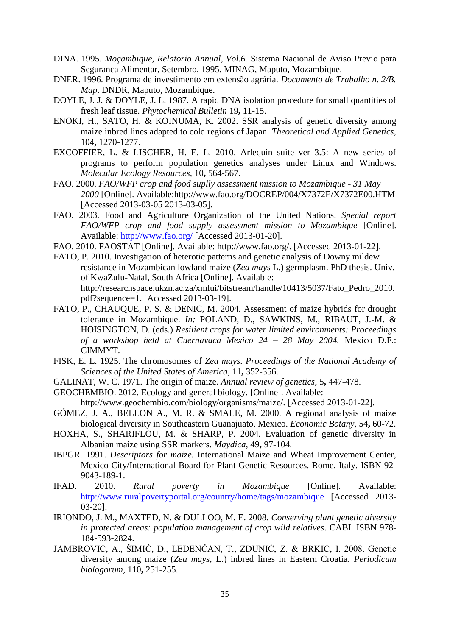- DINA. 1995. *Moçambique, Relatorio Annual, Vol.6.* Sistema Nacional de Aviso Previo para Seguranca Alimentar, Setembro, 1995. MINAG, Maputo, Mozambique.
- DNER. 1996. Programa de investimento em extensão agrária. *Documento de Trabalho n. 2/B. Map*. DNDR, Maputo, Mozambique.
- DOYLE, J. J. & DOYLE, J. L. 1987. A rapid DNA isolation procedure for small quantities of fresh leaf tissue. *Phytochemical Bulletin* 19**,** 11-15.
- ENOKI, H., SATO, H. & KOINUMA, K. 2002. SSR analysis of genetic diversity among maize inbred lines adapted to cold regions of Japan. *Theoretical and Applied Genetics,* 104**,** 1270-1277.
- EXCOFFIER, L. & LISCHER, H. E. L. 2010. Arlequin suite ver 3.5: A new series of programs to perform population genetics analyses under Linux and Windows. *Molecular Ecology Resources,* 10**,** 564-567.
- FAO. 2000. *FAO/WFP crop and food suplly assessment mission to Mozambique 31 May 2000* [Online]. Available:http://www.fao.org/DOCREP/004/X7372E/X7372E00.HTM [Accessed 2013-03-05 2013-03-05].
- FAO. 2003. Food and Agriculture Organization of the United Nations. *Special report FAO/WFP crop and food supply assessment mission to Mozambique* [Online]. Available:<http://www.fao.org/> [Accessed 2013-01-20].
- FAO. 2010. FAOSTAT [Online]. Available: http://www.fao.org/. [Accessed 2013-01-22].
- FATO, P. 2010. Investigation of heterotic patterns and genetic analysis of Downy mildew resistance in Mozambican lowland maize (*Zea mays* L.) germplasm. PhD thesis. Univ. of KwaZulu-Natal, South Africa [Online]. Available: http://researchspace.ukzn.ac.za/xmlui/bitstream/handle/10413/5037/Fato\_Pedro\_2010. pdf?sequence=1. [Accessed 2013-03-19].
- FATO, P., CHAUQUE, P. S. & DENIC, M. 2004. Assessment of maize hybrids for drought tolerance in Mozambique. *In:* POLAND, D., SAWKINS, M., RIBAUT, J.-M. & HOISINGTON, D. (eds.) *Resilient crops for water limited environments: Proceedings of a workshop held at Cuernavaca Mexico 24 – 28 May 2004.* Mexico D.F.: CIMMYT.
- FISK, E. L. 1925. The chromosomes of *Zea mays*. *Proceedings of the National Academy of Sciences of the United States of America,* 11**,** 352-356.
- GALINAT, W. C. 1971. The origin of maize. *Annual review of genetics,* 5**,** 447-478.
- GEOCHEMBIO. 2012. Ecology and general biology. [Online]. Available:

http://www.geochembio.com/biology/organisms/maize/*.* [Accessed 2013-01-22]*.*

- GÓMEZ, J. A., BELLON A., M. R. & SMALE, M. 2000. A regional analysis of maize biological diversity in Southeastern Guanajuato, Mexico. *Economic Botany,* 54**,** 60-72.
- HOXHA, S., SHARIFLOU, M. & SHARP, P. 2004. Evaluation of genetic diversity in Albanian maize using SSR markers. *Maydica,* 49**,** 97-104.
- IBPGR. 1991. *Descriptors for maize.* International Maize and Wheat Improvement Center, Mexico City/International Board for Plant Genetic Resources. Rome, Italy. ISBN 92- 9043-189-1.
- IFAD. 2010. *Rural poverty in Mozambique* [Online]. Available: <http://www.ruralpovertyportal.org/country/home/tags/mozambique>[Accessed 2013- 03-20].
- IRIONDO, J. M., MAXTED, N. & DULLOO, M. E. 2008. *Conserving plant genetic diversity in protected areas: population management of crop wild relatives*. CABI. ISBN 978- 184-593-2824.
- JAMBROVIĆ, A., ŠIMIĆ, D., LEDENČAN, T., ZDUNIĆ, Z. & BRKIĆ, I. 2008. Genetic diversity among maize (*Zea mays,* L.) inbred lines in Eastern Croatia. *Periodicum biologorum,* 110**,** 251-255.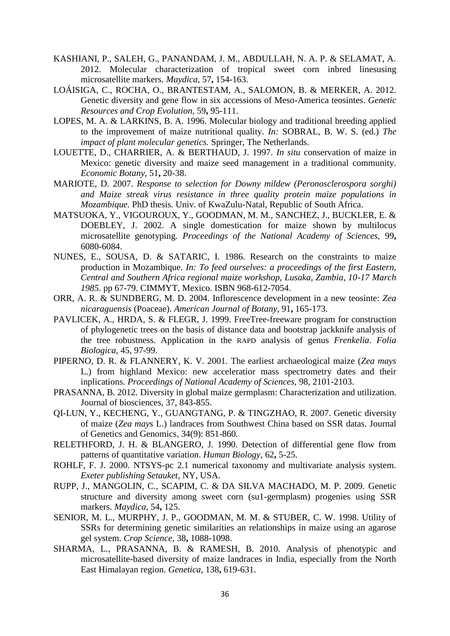- KASHIANI, P., SALEH, G., PANANDAM, J. M., ABDULLAH, N. A. P. & SELAMAT, A. 2012. Molecular characterization of tropical sweet corn inbred linesusing microsatellite markers. *Maydica,* 57**,** 154-163.
- LOÁISIGA, C., ROCHA, O., BRANTESTAM, A., SALOMON, B. & MERKER, A. 2012. Genetic diversity and gene flow in six accessions of Meso-America teosintes. *Genetic Resources and Crop Evolution,* 59**,** 95-111.
- LOPES, M. A. & LARKINS, B. A. 1996. Molecular biology and traditional breeding applied to the improvement of maize nutritional quality. *In:* SOBRAL, B. W. S. (ed.) *The impact of plant molecular genetics.* Springer, The Netherlands.
- LOUETTE, D., CHARRIER, A. & BERTHAUD, J. 1997. *In situ* conservation of maize in Mexico: genetic diversity and maize seed management in a traditional community. *Economic Botany,* 51**,** 20-38.
- MARIOTE, D. 2007. *Response to selection for Downy mildew (Peronosclerospora sorghi) and Maize streak virus resistance in three quality protein maize populations in Mozambique.* PhD thesis*.* Univ. of KwaZulu-Natal, Republic of South Africa.
- MATSUOKA, Y., VIGOUROUX, Y., GOODMAN, M. M., SANCHEZ, J., BUCKLER, E. & DOEBLEY, J. 2002. A single domestication for maize shown by multilocus microsatellite genotyping. *Proceedings of the National Academy of Sciences,* 99**,** 6080-6084.
- NUNES, E., SOUSA, D. & SATARIC, I. 1986. Research on the constraints to maize production in Mozambique. *In: To feed ourselves: a proceedings of the first Eastern, Central and Southern Africa regional maize workshop, Lusaka, Zambia, 10-17 March 1985*. pp 67-79. CIMMYT, Mexico. ISBN 968-612-7054.
- ORR, A. R. & SUNDBERG, M. D. 2004. Inflorescence development in a new teosinte: *Zea nicaraguensis* (Poaceae). *American Journal of Botany,* 91**,** 165-173.
- PAVLICEK, A., HRDA, S. & FLEGR, J. 1999. FreeTree-freeware program for construction of phylogenetic trees on the basis of distance data and bootstrap jackknife analysis of the tree robustness. Application in the RAPD analysis of genus *Frenkelia*. *Folia Biologica,* 45, 97-99.
- PIPERNO, D. R. & FLANNERY, K. V. 2001. The earliest archaeological maize (*Zea mays* L.) from highland Mexico: new acceleratior mass spectrometry dates and their inplications. *Proceedings of National Academy of Sciences,* 98, 2101-2103.
- PRASANNA, B. 2012. Diversity in global maize germplasm: Characterization and utilization. Journal of biosciences, 37, 843-855.
- QI-LUN, Y., KECHENG, Y., GUANGTANG, P. & TINGZHAO, R. 2007. Genetic diversity of maize (*Zea mays* L.) landraces from Southwest China based on SSR datas. Journal of Genetics and Genomics, 34(9): 851-860.
- RELETHFORD, J. H. & BLANGERO, J. 1990. Detection of differential gene flow from patterns of quantitative variation. *Human Biology,* 62**,** 5-25.
- ROHLF, F. J. 2000. NTSYS-pc 2.1 numerical taxonomy and multivariate analysis system. *Exeter publishing Setauket*, NY, USA.
- RUPP, J., MANGOLIN, C., SCAPIM, C. & DA SILVA MACHADO, M. P. 2009. Genetic structure and diversity among sweet corn (su1-germplasm) progenies using SSR markers. *Maydica,* 54**,** 125.
- SENIOR, M. L., MURPHY, J. P., GOODMAN, M. M. & STUBER, C. W. 1998. Utility of SSRs for determining genetic similarities an relationships in maize using an agarose gel system. *Crop Science,* 38**,** 1088-1098.
- SHARMA, L., PRASANNA, B. & RAMESH, B. 2010. Analysis of phenotypic and microsatellite-based diversity of maize landraces in India, especially from the North East Himalayan region. *Genetica,* 138**,** 619-631.